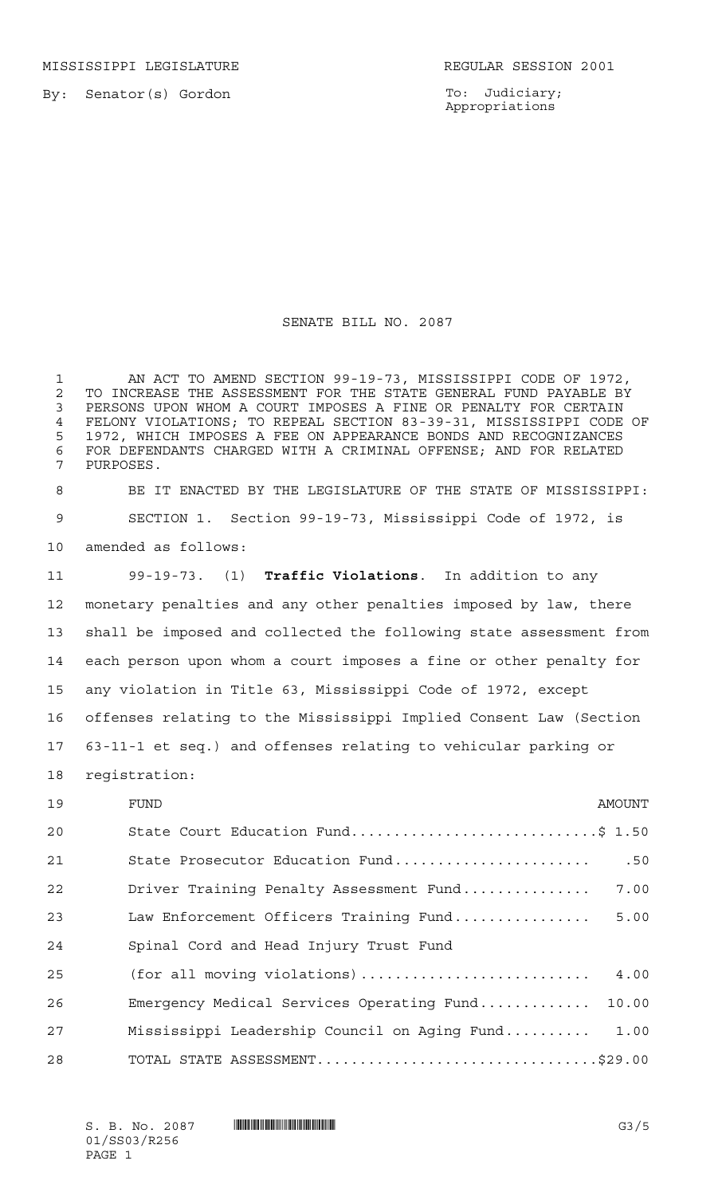MISSISSIPPI LEGISLATURE **REGULAR SESSION 2001** 

By: Senator(s) Gordon

To: Judiciary; Appropriations

## SENATE BILL NO. 2087

 AN ACT TO AMEND SECTION 99-19-73, MISSISSIPPI CODE OF 1972, 2 TO INCREASE THE ASSESSMENT FOR THE STATE GENERAL FUND PAYABLE BY<br>3 PERSONS UPON WHOM A COURT IMPOSES A FINE OR PENALTY FOR CERTAIN PERSONS UPON WHOM A COURT IMPOSES A FINE OR PENALTY FOR CERTAIN FELONY VIOLATIONS; TO REPEAL SECTION 83-39-31, MISSISSIPPI CODE OF 1972, WHICH IMPOSES A FEE ON APPEARANCE BONDS AND RECOGNIZANCES 6 FOR DEFENDANTS CHARGED WITH A CRIMINAL OFFENSE; AND FOR RELATED<br>7 PURPOSES. PURPOSES.

 BE IT ENACTED BY THE LEGISLATURE OF THE STATE OF MISSISSIPPI: SECTION 1. Section 99-19-73, Mississippi Code of 1972, is amended as follows:

 99-19-73. (1) **Traffic Violations**. In addition to any monetary penalties and any other penalties imposed by law, there shall be imposed and collected the following state assessment from each person upon whom a court imposes a fine or other penalty for any violation in Title 63, Mississippi Code of 1972, except offenses relating to the Mississippi Implied Consent Law (Section 63-11-1 et seq.) and offenses relating to vehicular parking or registration:

| 19 | FUND                                         | AMOUNT |
|----|----------------------------------------------|--------|
| 20 | State Court Education Fund\$ 1.50            |        |
| 21 | State Prosecutor Education Fund              | .50    |
| 22 | Driver Training Penalty Assessment Fund      | 7.00   |
| 23 | Law Enforcement Officers Training Fund       | 5.00   |
| 24 | Spinal Cord and Head Injury Trust Fund       |        |
| 25 | (for all moving violations)                  | 4.00   |
| 26 | Emergency Medical Services Operating Fund    | 10.00  |
| 27 | Mississippi Leadership Council on Aging Fund | 1.00   |
| 28 | TOTAL STATE ASSESSMENT\$29.00                |        |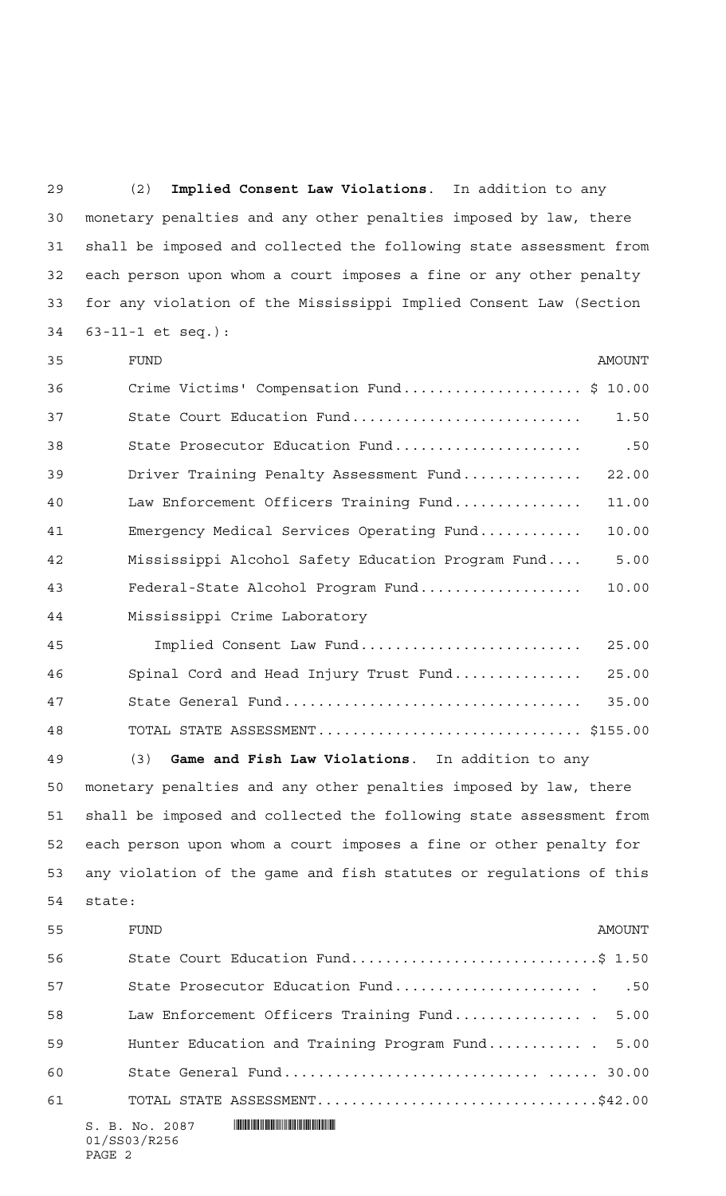(2) **Implied Consent Law Violations**. In addition to any monetary penalties and any other penalties imposed by law, there shall be imposed and collected the following state assessment from each person upon whom a court imposes a fine or any other penalty for any violation of the Mississippi Implied Consent Law (Section 63-11-1 et seq.):

| 35 | <b>FUND</b><br>AMOUNT                                              |
|----|--------------------------------------------------------------------|
| 36 | Crime Victims' Compensation Fund\$ 10.00                           |
| 37 | State Court Education Fund<br>1.50                                 |
| 38 | .50<br>State Prosecutor Education Fund                             |
| 39 | 22.00<br>Driver Training Penalty Assessment Fund                   |
| 40 | Law Enforcement Officers Training Fund<br>11.00                    |
| 41 | Emergency Medical Services Operating Fund<br>10.00                 |
| 42 | Mississippi Alcohol Safety Education Program Fund<br>5.00          |
| 43 | Federal-State Alcohol Program Fund<br>10.00                        |
| 44 | Mississippi Crime Laboratory                                       |
| 45 | Implied Consent Law Fund<br>25.00                                  |
| 46 | Spinal Cord and Head Injury Trust Fund<br>25.00                    |
| 47 | 35.00                                                              |
| 48 | TOTAL STATE ASSESSMENT \$155.00                                    |
| 49 | Game and Fish Law Violations. In addition to any<br>(3)            |
| 50 | monetary penalties and any other penalties imposed by law, there   |
| 51 | shall be imposed and collected the following state assessment from |
| 52 | each person upon whom a court imposes a fine or other penalty for  |
| 53 | any violation of the game and fish statutes or regulations of this |
| 54 | state:                                                             |
| 55 | FUND<br>AMOUNT                                                     |
| 56 | State Court Education Fund\$ 1.50                                  |
| 57 | State Prosecutor Education Fund<br>.50                             |
| 58 | Law Enforcement Officers Training Fund 5.00                        |
| 59 | Hunter Education and Training Program Fund<br>5.00                 |
| 60 |                                                                    |
| 61 | TOTAL STATE ASSESSMENT\$42.00                                      |
|    | S. B. No. 2087<br>01/SS03/R256                                     |

PAGE 2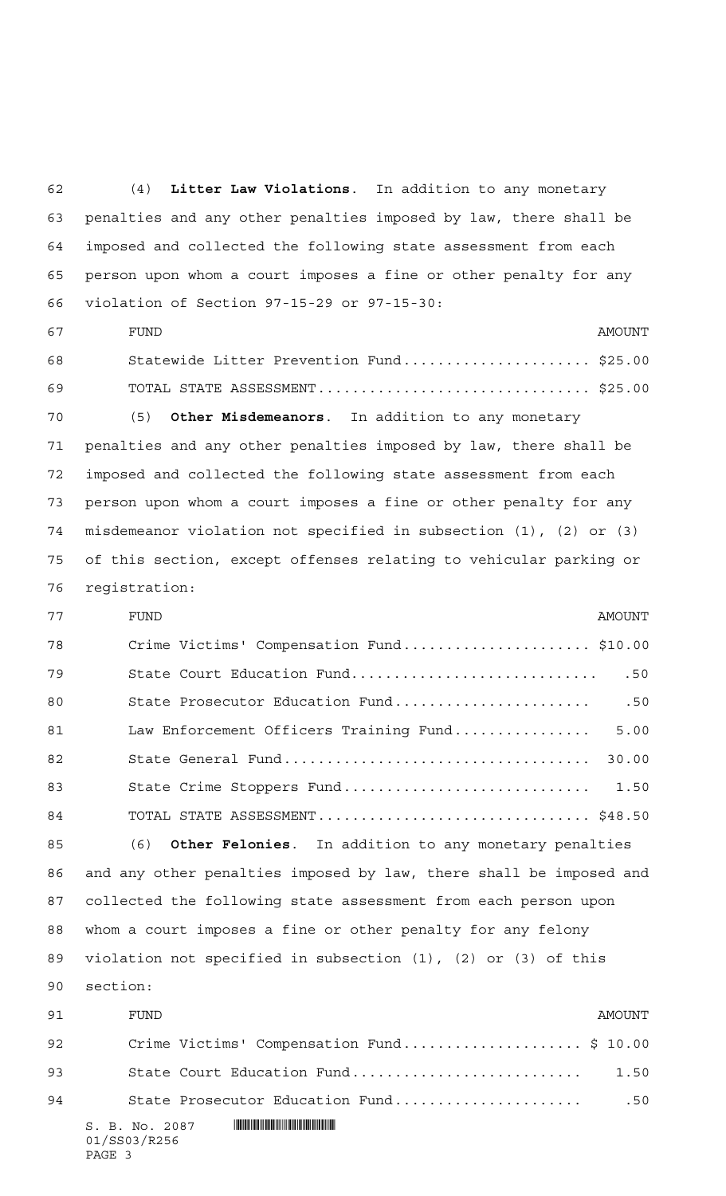(4) **Litter Law Violations**. In addition to any monetary penalties and any other penalties imposed by law, there shall be imposed and collected the following state assessment from each person upon whom a court imposes a fine or other penalty for any violation of Section 97-15-29 or 97-15-30: 67 FUND FUND Statewide Litter Prevention Fund...................... \$25.00 TOTAL STATE ASSESSMENT................................ \$25.00 (5) **Other Misdemeanors**. In addition to any monetary penalties and any other penalties imposed by law, there shall be imposed and collected the following state assessment from each person upon whom a court imposes a fine or other penalty for any misdemeanor violation not specified in subsection (1), (2) or (3) of this section, except offenses relating to vehicular parking or registration: FUND AMOUNT Crime Victims' Compensation Fund...................... \$10.00 State Court Education Fund............................. .50 State Prosecutor Education Fund....................... .50

81 Law Enforcement Officers Training Fund................... 5.00 State General Fund.................................... 30.00 State Crime Stoppers Fund............................. 1.50 TOTAL STATE ASSESSMENT................................ \$48.50

 (6) **Other Felonies**. In addition to any monetary penalties and any other penalties imposed by law, there shall be imposed and collected the following state assessment from each person upon whom a court imposes a fine or other penalty for any felony violation not specified in subsection (1), (2) or (3) of this section:

| 91 | FUND                                      | AMOINT |
|----|-------------------------------------------|--------|
| 92 | Crime Victims' Compensation Fund \$ 10.00 |        |
| 93 | State Court Education Fund                | 1.50   |
| 94 | State Prosecutor Education Fund           | .50    |
|    | S. B. No. 2087<br>01/SS03/R256<br>PAGE 3  |        |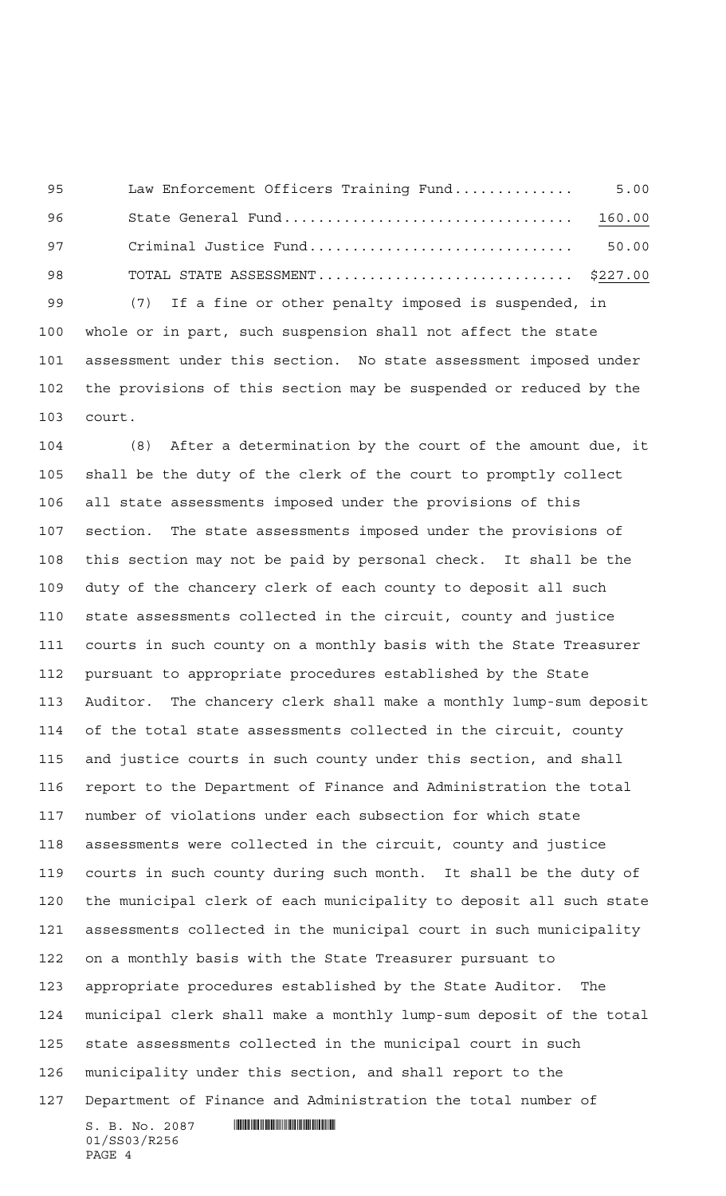Law Enforcement Officers Training Fund.............. 5.00 State General Fund.................................. 160.00 Criminal Justice Fund............................... 50.00 TOTAL STATE ASSESSMENT.............................. \$227.00

 (7) If a fine or other penalty imposed is suspended, in whole or in part, such suspension shall not affect the state assessment under this section. No state assessment imposed under the provisions of this section may be suspended or reduced by the court.

 $S.$  B. No. 2087  $\blacksquare$  (8) After a determination by the court of the amount due, it shall be the duty of the clerk of the court to promptly collect all state assessments imposed under the provisions of this section. The state assessments imposed under the provisions of this section may not be paid by personal check. It shall be the duty of the chancery clerk of each county to deposit all such state assessments collected in the circuit, county and justice courts in such county on a monthly basis with the State Treasurer pursuant to appropriate procedures established by the State Auditor. The chancery clerk shall make a monthly lump-sum deposit of the total state assessments collected in the circuit, county and justice courts in such county under this section, and shall report to the Department of Finance and Administration the total number of violations under each subsection for which state assessments were collected in the circuit, county and justice courts in such county during such month. It shall be the duty of the municipal clerk of each municipality to deposit all such state assessments collected in the municipal court in such municipality on a monthly basis with the State Treasurer pursuant to appropriate procedures established by the State Auditor. The municipal clerk shall make a monthly lump-sum deposit of the total state assessments collected in the municipal court in such municipality under this section, and shall report to the Department of Finance and Administration the total number of

01/SS03/R256 PAGE 4